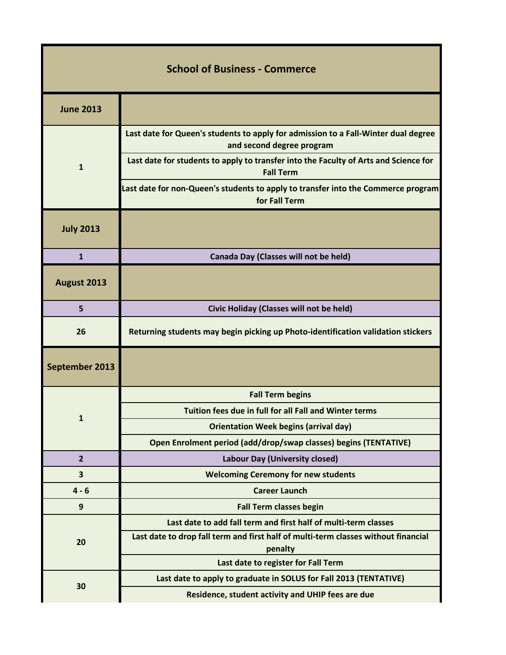| <b>School of Business - Commerce</b> |                                                                                                                 |
|--------------------------------------|-----------------------------------------------------------------------------------------------------------------|
| <b>June 2013</b>                     |                                                                                                                 |
| $\mathbf{1}$                         | Last date for Queen's students to apply for admission to a Fall-Winter dual degree<br>and second degree program |
|                                      | Last date for students to apply to transfer into the Faculty of Arts and Science for<br><b>Fall Term</b>        |
|                                      | Last date for non-Queen's students to apply to transfer into the Commerce program<br>for Fall Term              |
| <b>July 2013</b>                     |                                                                                                                 |
| $\mathbf{1}$                         | Canada Day (Classes will not be held)                                                                           |
| August 2013                          |                                                                                                                 |
| 5                                    | Civic Holiday (Classes will not be held)                                                                        |
| 26                                   | Returning students may begin picking up Photo-identification validation stickers                                |
| September 2013                       |                                                                                                                 |
| 1                                    | <b>Fall Term begins</b>                                                                                         |
|                                      | Tuition fees due in full for all Fall and Winter terms                                                          |
|                                      | <b>Orientation Week begins (arrival day)</b>                                                                    |
|                                      | Open Enrolment period (add/drop/swap classes) begins (TENTATIVE)                                                |
| $\overline{2}$                       | <b>Labour Day (University closed)</b>                                                                           |
| 3                                    | <b>Welcoming Ceremony for new students</b>                                                                      |
| $4 - 6$                              | <b>Career Launch</b>                                                                                            |
| $\boldsymbol{9}$                     | <b>Fall Term classes begin</b>                                                                                  |
| 20                                   | Last date to add fall term and first half of multi-term classes                                                 |
|                                      | Last date to drop fall term and first half of multi-term classes without financial<br>penalty                   |
|                                      | Last date to register for Fall Term                                                                             |
| 30                                   | Last date to apply to graduate in SOLUS for Fall 2013 (TENTATIVE)                                               |
|                                      | Residence, student activity and UHIP fees are due                                                               |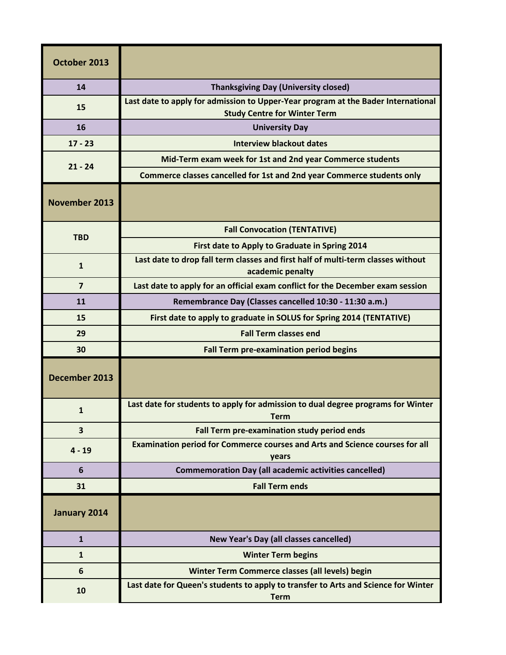| October 2013         |                                                                                                                          |
|----------------------|--------------------------------------------------------------------------------------------------------------------------|
| 14                   | <b>Thanksgiving Day (University closed)</b>                                                                              |
| 15                   | Last date to apply for admission to Upper-Year program at the Bader International<br><b>Study Centre for Winter Term</b> |
| 16                   | <b>University Day</b>                                                                                                    |
| $17 - 23$            | <b>Interview blackout dates</b>                                                                                          |
| $21 - 24$            | Mid-Term exam week for 1st and 2nd year Commerce students                                                                |
|                      | Commerce classes cancelled for 1st and 2nd year Commerce students only                                                   |
| <b>November 2013</b> |                                                                                                                          |
| <b>TBD</b>           | <b>Fall Convocation (TENTATIVE)</b>                                                                                      |
|                      | First date to Apply to Graduate in Spring 2014                                                                           |
| $\mathbf{1}$         | Last date to drop fall term classes and first half of multi-term classes without<br>academic penalty                     |
| $\overline{7}$       | Last date to apply for an official exam conflict for the December exam session                                           |
| 11                   | Remembrance Day (Classes cancelled 10:30 - 11:30 a.m.)                                                                   |
| 15                   | First date to apply to graduate in SOLUS for Spring 2014 (TENTATIVE)                                                     |
| 29                   | <b>Fall Term classes end</b>                                                                                             |
| 30                   | <b>Fall Term pre-examination period begins</b>                                                                           |
| December 2013        |                                                                                                                          |
| $\mathbf{1}$         | Last date for students to apply for admission to dual degree programs for Winter<br><b>Term</b>                          |
| 3                    | Fall Term pre-examination study period ends                                                                              |
| $4 - 19$             | Examination period for Commerce courses and Arts and Science courses for all<br>years                                    |
| 6                    | <b>Commemoration Day (all academic activities cancelled)</b>                                                             |
| 31                   | <b>Fall Term ends</b>                                                                                                    |
| January 2014         |                                                                                                                          |
| $\mathbf{1}$         | New Year's Day (all classes cancelled)                                                                                   |
| $\mathbf{1}$         | <b>Winter Term begins</b>                                                                                                |
| 6                    | Winter Term Commerce classes (all levels) begin                                                                          |
| 10                   | Last date for Queen's students to apply to transfer to Arts and Science for Winter<br><b>Term</b>                        |